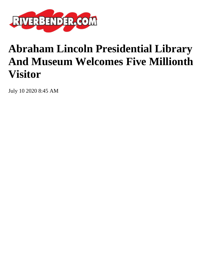

## **Abraham Lincoln Presidential Library And Museum Welcomes Five Millionth Visitor**

July 10 2020 8:45 AM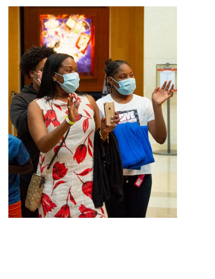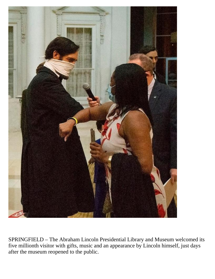

SPRINGFIELD – The Abraham Lincoln Presidential Library and Museum welcomed its five millionth visitor with gifts, music and an appearance by Lincoln himself, just days after the museum reopened to the public.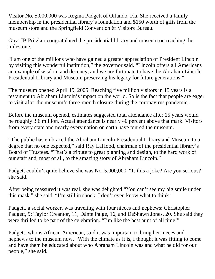Visitor No. 5,000,000 was Regina Padgett of Orlando, Fla. She received a family membership in the presidential library's foundation and \$150 worth of gifts from the museum store and the Springfield Convention & Visitors Bureau.

Gov. JB Pritzker congratulated the presidential library and museum on reaching the milestone.

"I am one of the millions who have gained a greater appreciation of President Lincoln by visiting this wonderful institution," the governor said. "Lincoln offers all Americans an example of wisdom and decency, and we are fortunate to have the Abraham Lincoln Presidential Library and Museum preserving his legacy for future generations."

The museum opened April 19, 2005. Reaching five million visitors in 15 years is a testament to Abraham Lincoln's impact on the world. So is the fact that people are eager to visit after the museum's three-month closure during the coronavirus pandemic.

Before the museum opened, estimates suggested total attendance after 15 years would be roughly 3.6 million. Actual attendance is nearly 40 percent above that mark. Visitors from every state and nearly every nation on earth have toured the museum.

"The public has embraced the Abraham Lincoln Presidential Library and Museum to a degree that no one expected," said Ray LaHood, chairman of the presidential library's Board of Trustees. "That's a tribute to great planning and design, to the hard work of our staff and, most of all, to the amazing story of Abraham Lincoln."

Padgett couldn't quite believe she was No. 5,000,000. "Is this a joke? Are you serious?" she said.

After being reassured it was real, she was delighted "You can't see my big smile under this mask," she said. "I'm still in shock. I don't even know what to think."

Padgett, a social worker, was traveling with four nieces and nephews: Christopher Padgett, 9; Taylor Creantor, 11; Dánte Paige, 16, and DeShawn Jones, 20. She said they were thrilled to be part of the celebration. "I'm like the best aunt of all time!"

Padgett, who is African American, said it was important to bring her nieces and nephews to the museum now. "With the climate as it is, I thought it was fitting to come and have them be educated about who Abraham Lincoln was and what he did for our people," she said.